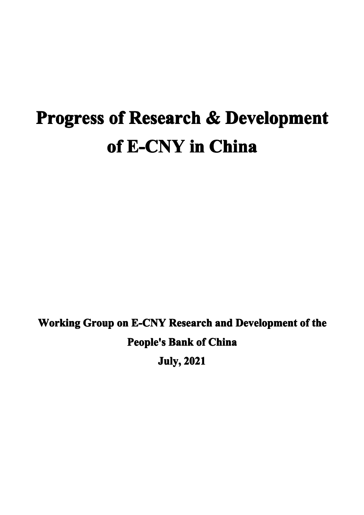# **Progress of Research & Development of E-CNY in China**

**Working Group on E-CNY Research and Development of the People's Bank of China July, 2021**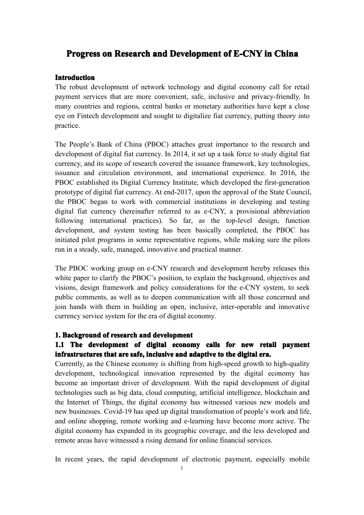## **Progress on Research and Development of E-CNY in China**

#### **Introduction**

The robust development of network technology and digital economy call for retail paymen<sup>t</sup> services that are more convenient, safe, inclusive and privacy-friendly. In many countries and regions, central banks or monetary authorities have kept <sup>a</sup> close eye on Fintech development and sought to digitalize fiat currency, putting theory into practice.

The People's Bank of China (PBOC) attaches grea<sup>t</sup> importance to the research and development of digital fiat currency. In 2014, it set up <sup>a</sup> task force to study digital fiat currency, and its scope of research covered the issuance framework, key technologies, issuance and circulation environment, and international experience. In 2016, the PBOC established its Digital Currency Institute, which developed the first-generation prototype of digital fiat currency. At end-2017, upon the approval of the State Council, the PBOC began to work with commercial institutions in developing and testing digital fiat currency (hereinafter referred to as e-CNY, <sup>a</sup> provisional abbreviation following international practices). So far, as the top-level design, function development, and system testing has been basically completed, the PBOC has initiated pilot programs in some representative regions, while making sure the pilots run in <sup>a</sup> steady, safe, managed, innovative and practical manner.

The PBOC working group on e-CNY research and development hereby releases this white paper to clarify the PBOC's position, to explain the background, objectives and visions, design framework and policy considerations for the e-CNY system, to seek public comments, as well as to deepen communication with all those concerned and join hands with them in building an open, inclusive, inter-operable and innovative currency service system for the era of digital economy.

#### **1.** Background of research and development

## **1.1 The development development of digital economy economycalls for new retail paymen<sup>t</sup> paymen<sup>t</sup> infrastructures infrastructuresthat are safe, inclusive inclusiveand adaptive adaptive to the digital era.**

Currently, as the Chinese economy is shifting from high-speed growth to high-quality development, technological innovation represented by the digital economy has become an important driver of development. With the rapid development of digital technologies such as big data, cloud computing, artificial intelligence, blockchain and the Internet of Things, the digital economy has witnessed various new models and new businesses. Covid-19 has sped up digital transformation of people's work and life, and online shopping, remote working and e-learning have become more active. The digital economy has expanded in its geographic coverage, and the less developed and remote areas have witnessed <sup>a</sup> rising demand for online financial services.

In recent years, the rapid development of electronic payment, especially mobile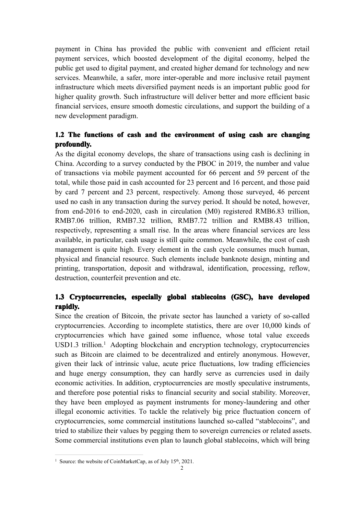paymen<sup>t</sup> in China has provided the public with convenient andefficient retail paymen<sup>t</sup> services, which boosted development of the digital economy, helped the public ge<sup>t</sup> used to digital payment, and created higher demand for technology and new services. Meanwhile, <sup>a</sup> safer, more inter-operable and more inclusive retail paymen<sup>t</sup> infrastructure which meets diversified paymen<sup>t</sup> needs is an important public good for higher quality growth. Such infrastructure will deliver better and more efficient basic financial services, ensure smooth domestic circulations, and support the building of a new development paradigm.

## **1.2** The functions of cash and the environment of using cash are changing **profoundly.**

As the digital economy develops, the share of transactions using cash is declining in China. According to <sup>a</sup> survey conducted by the PBOC in 2019, the number and value of transactions via mobile paymen<sup>t</sup> accounted for 66 percen<sup>t</sup> and 59 percen<sup>t</sup> of the total, while those paid in cash accounted for 23 percen<sup>t</sup> and 16 percent, and those paid by card 7 percen<sup>t</sup> and 23 percent, respectively. Among those surveyed, 46 percen<sup>t</sup> used no cash in any transaction during the survey period. It should be noted, however, from end-2016 to end-2020, cash in circulation (M0) registered RMB6.83 trillion, RMB7.06 trillion, RMB7.32 trillion, RMB7.72 trillion and RMB8.43 trillion, respectively, representing <sup>a</sup> small rise. In the areas where financial services are less available, in particular, cash usage is still quite common. Meanwhile, the cost of cash management is quite high. Every element in the cash cycle consumes much human, physical and financial resource. Suchelements include banknote design, minting and printing, transportation, deposit and withdrawal, identification, processing, reflow, destruction, counterfeit prevention and etc.

## 1.3 Cryptocurrencies, especially global stablecoins (GSC), have developed **rapidly. rapidly.**

Since the creation of Bitcoin, the private sector has launched <sup>a</sup> variety of so-called cryptocurrencies. According to incomplete statistics, there are over 10,000 kinds of cryptocurrencies which have gained some influence, whose total value exceeds USD[1](#page-2-0).3 trillion.<sup>1</sup> Adopting blockchain and encryption technology, cryptocurrencies such as Bitcoin are claimed to be decentralized and entirely anonymous. However, given their lack of intrinsic value, acute price fluctuations, low trading efficiencies and huge energy consumption, they can hardly serve as currencies used in daily economic activities. In addition, cryptocurrencies are mostly speculative instruments, and therefore pose potential risks to financial security and social stability. Moreover, they have been employed as paymen<sup>t</sup> instruments for money-laundering and other illegal economic activities. To tackle the relatively big price fluctuation concern of cryptocurrencies, some commercial institutions launched so-called "stablecoins", and tried to stabilize their values by pegging them to sovereign currencies or related assets. Some commercial institutions even plan to launch global stablecoins, which will bring

<span id="page-2-0"></span><sup>&</sup>lt;sup>1</sup> Source: the website of CoinMarketCap, as of July  $15<sup>th</sup>$ , 2021.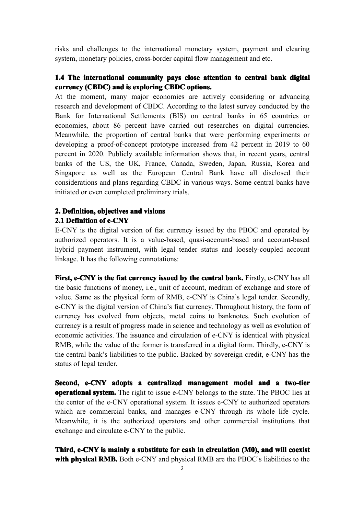risks and challenges to the international monetary system, paymen<sup>t</sup> and clearing system, monetary policies, cross-border capital flow managemen<sup>t</sup> and etc.

## 1.4 The international community pays close attention to central bank digital **currency (CBDC)** and is exploring CBDC options.

At the moment, many major economies are actively considering or advancing research and development of CBDC. According to the latest survey conducted by the Bank for International Settlements (BIS) on central banks in 65 countries or economies, about 86 percen<sup>t</sup> have carried out researches on digital currencies. Meanwhile, the proportion of central banks that were performing experiments or developing <sup>a</sup> proof-of-concept prototype increased from 42 percen<sup>t</sup> in 2019 to 60 percen<sup>t</sup> in 2020. Publicly available information shows that, in recent years, central banks of the US, the UK, France, Canada, Sweden, Japan, Russia, Korea and Singapore as well as the European Central Bank have all disclosed their considerations and plans regarding CBDC in various ways. Some central banks have initiated or even completed preliminary trials.

# **2. Definition, Definition,objectives objectives and visions visions**

## **2.1 Definition** of **e-CNY**

E-CNY is the digital version of fiat currency issued by the PBOC and operated by authorized operators. It is <sup>a</sup> value-based, quasi-account-based and account-based hybrid paymen<sup>t</sup> instrument, with legal tender status and loosely-coupled account linkage. It has the following connotations:

**First, e-CNY** is the fiat currency issued by the central bank. Firstly, e-CNY has all the basic functions of money, i.e., unit of account, medium of exchange and store of value. Same as the physical form of RMB, e-CNY is China's legal tender. Secondly, e-CNY is the digital version of China's fiat currency. Throughout history, the form of currency has evolved from objects, metal coins to banknotes. Such evolution of currency is <sup>a</sup> result of progress made in science and technology as well as evolution of economic activities. The issuance and circulation of e-CNY is identical with physical RMB, while the value of the former is transferred in <sup>a</sup> digital form. Thirdly, e-CNY is the central bank's liabilities to the public. Backed by sovereign credit, e-CNY has the status of legal tender.

Second, e-CNY adopts a centralized management model and a two-tier **operational system.** The right to issue e-CNY belongs to the state. The PBOC lies at the center of the e-CNY operational system. It issues e-CNY to authorized operators which are commercial banks, and manages e-CNY through its whole life cycle. Meanwhile, it is the authorized operators and other commercial institutions that exchange and circulate e-CNY to the public.

**Third, e-CNY is mainly <sup>a</sup> substitute substitutefor cash in circulation circulation(M0), and will coexist with physical RMB.** Both e-CNY and physical RMB are the PBOC's liabilities to the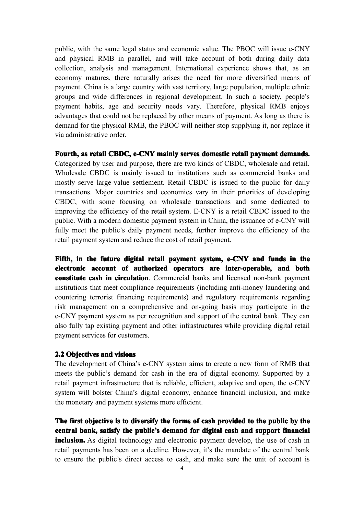public, with the same legal status and economic value. The PBOC will issue e-CNY and physical RMB in parallel, and will take account of both during daily data collection, analysis and management. International experience shows that, as an economy matures, there naturally arises the need for more diversified means of payment. China is <sup>a</sup> large country with vast territory, large population, multiple ethnic groups and wide differences in regional development. In such <sup>a</sup> society, people's paymen<sup>t</sup> habits, age and security needs vary. Therefore, physical RMB enjoys advantages that could not be replaced by other means of payment. Aslong as there is demand for the physical RMB, the PBOC will neither stop supplying it, nor replace it via administrative order.

Fourth, as retail CBDC, e-CNY mainly serves domestic retail payment demands.

Categorized by user and purpose, there are two kinds of CBDC, wholesale and retail. Wholesale CBDC is mainly issued to institutions such as commercial banks and mostly serve large-value settlement. Retail CBDC is issued to the public for daily transactions. Major countries and economies vary in their priorities of developing CBDC, with some focusing on wholesale transactions and some dedicated to improving the efficiency of the retail system. E-CNY is <sup>a</sup> retail CBDC issued to the public. With <sup>a</sup> modern domestic paymen<sup>t</sup> system in China, the issuance of e-CNY will fully meet the public's daily paymen<sup>t</sup> needs, further improve the efficiency of the retail paymen<sup>t</sup> system and reduce the cost of retail payment.

Fifth, in the future digital retail payment system, e-CNY and funds in the **electronic account** of **authorized operators are inter-operable, and both constitute cash in circulation**. Commercial banks and licensed non-bank payment institutions that meet compliance requirements (including anti-money laundering and countering terrorist financing requirements) and regulatory requirements regarding risk managemen<sup>t</sup> on <sup>a</sup> comprehensive and on-going basis may participate in the e-CNY paymen<sup>t</sup> system as per recognition and suppor<sup>t</sup> of the central bank. Theycan also fully tap existing paymen<sup>t</sup> and other infrastructures while providing digital retail paymen<sup>t</sup> services for customers.

#### **2.2 Objectives Objectives and visions visions**

The development of China's e-CNY system aims to create <sup>a</sup> new form of RMB that meets the public's demand for cash in the era of digital economy. Supported by <sup>a</sup> retail payment infrastructure that is reliable, efficient, adaptive and open, the e-CNY system will bolster China's digital economy, enhance financial inclusion, and make the monetary and paymen<sup>t</sup> systems more efficient.

The first objective is to diversify the forms of cash provided to the public by the central bank, satisfy the public's demand for digital cash and support financial **inclusion.** As digital technology and electronic payment develop, the use of cash in retail payments has been on <sup>a</sup> decline. However, it's the mandate of the central bank to ensure the public's direct access to cash, and make sure the unit of account is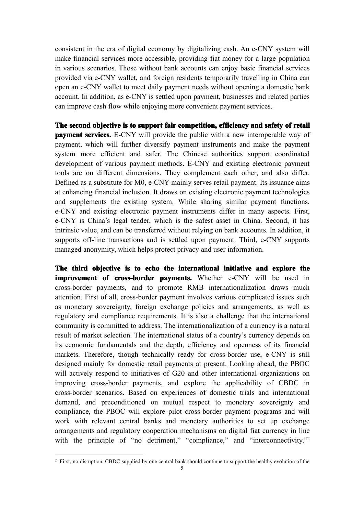consistent in the era of digital economy by digitalizing cash. An e-CNY system will make financial services more accessible, providing fiat money for <sup>a</sup> large population in various scenarios. Those without bank accounts can enjoy basic financial services provided via e-CNY wallet, and foreign residents temporarily travelling in China can open an e-CNY wallet to meet daily paymen<sup>t</sup> needs without opening <sup>a</sup> domestic bank account. In addition, as e-CNY is settled upon payment, businesses and related parties can improve cash flowwhile enjoying more convenient paymen<sup>t</sup> services.

The second objective is to support fair competition, efficiency and safety of retail **payment services.** E-CNY will provide the public with a new interoperable way of payment, which will further diversify paymen<sup>t</sup> instruments and make the paymen<sup>t</sup> system more efficient and safer. The Chinese authorities suppor<sup>t</sup> coordinated development of various paymen<sup>t</sup> methods. E-CNY and existing electronic paymen<sup>t</sup> tools are on different dimensions. They complement each other, and also differ. Defined as a substitute for M0, e-CNY mainly serves retail payment. Its issuance aims at enhancing financial inclusion. It draws on existing electronic paymen<sup>t</sup> technologies and supplements the existing system. While sharing similar paymen<sup>t</sup> functions, e-CNY and existing electronic paymen<sup>t</sup> instruments differ in many aspects. First, e-CNY is China's legal tender, which is the safest asset in China. Second, it has intrinsic value, and can be transferred without relying on bank accounts. In addition, it supports off-line transactions and is settled upon payment. Third, e-CNY supports managed anonymity, which helps protect privacy and user information.

The third objective is to echo the international initiative and explore the **improvement of cross-border payments.** Whether e-CNY will be used in cross-border payments, and to promote RMB internationalization draws much attention. First of all, cross-border paymen<sup>t</sup> involves various complicated issues such as monetary sovereignty, foreign exchange policies and arrangements, as well as regulatory and compliance requirements. It is also a challenge that the international community is committed to address. The internationalization of a currency is a natural result of market selection. The international status of a country's currency depends on its economic fundamentals and the depth, efficiency and openness of its financial markets. Therefore, though technically ready for cross-border use, e-CNY is still designed mainly for domestic retail payments at present. Looking ahead, the PBOC will actively respond to initiatives of G20 and other international organizations on improving cross-border payments, and explore the applicability of CBDC in cross-border scenarios. Based on experiences of domestic trials and international demand, and preconditioned on mutual respec<sup>t</sup> to monetary sovereignty and compliance, the PBOC will explore pilot cross-border paymen<sup>t</sup> programs and will work with relevant central banks and monetary authorities to set up exchange arrangements and regulatory cooperation mechanisms on digital fiat currency in line with the principle of "no detriment," "compliance," and "interconnectivity."<sup>[2](#page-5-0)</sup>

<span id="page-5-0"></span><sup>5</sup> <sup>2</sup> First, no disruption. CBDC supplied by one central bank should continue to support the healthy evolution of the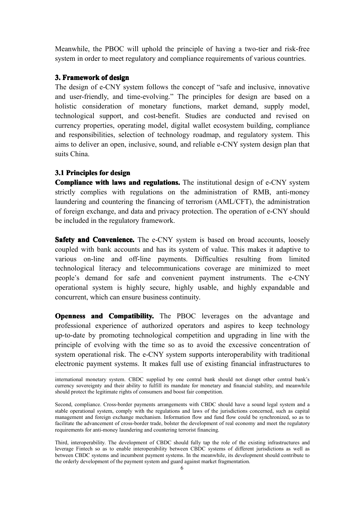Meanwhile, the PBOC will uphold the principle of having <sup>a</sup> two-tier and risk-free system in order to meet regulatory and compliance requirements of various countries.

#### **3. Framework** of design

The design of e-CNY system follows the concep<sup>t</sup> of "safe and inclusive, innovative and user-friendly, and time-evolving." The principles for design are based on <sup>a</sup> holistic consideration of monetary functions, market demand, supply model, technological support, and cost-benefit. Studies are conducted and revised on currency properties, operating model, digital wallet ecosystem building, compliance and responsibilities, selection of technology roadmap, and regulatory system. This aims to deliver an open, inclusive, sound, and reliable e-CNY system design plan that suits China.

#### **3.1 Principles for design**

**Compliance with laws and regulations.** The institutional design of e-CNY system strictly complies with regulations on the administration of RMB, anti-money laundering and countering the financing of terrorism (AML/CFT), the administration of foreign exchange, and data and privacy protection. The operation of e-CNY should be included in the regulatory framework.

**Safety and Convenience.** The e-CNY system is based on broad accounts, loosely coupled with bank accounts and has its system of value. This makes it adaptive to various on-line and off-line payments. Difficulties resulting from limited technological literacy and telecommunications coverage are minimized to meet people's demand for safe and convenient paymen<sup>t</sup> instruments. The e-CNY operational system is highly secure, highly usable, and highly expandable and concurrent, which can ensure business continuity.

**Openness and Compatibility.** The PBOC leverages on the advantage and professional experience of authorized operators and aspires to keep technology up-to-date by promoting technological competition and upgrading in line with the principle of evolving with the time so as to avoid the excessive concentration of system operational risk. The e-CNY system supports interoperability with traditional electronic paymen<sup>t</sup> systems. It makes full use of existing financial infrastructures to

international monetary system. CBDC supplied by one central bank should not disrupt other central bank's currency sovereignty and their ability to fulfill its mandate for monetary and financial stability, and meanwhile should protect the legitimate rights of consumers and boost fair competition.

Second, compliance. Cross-border payments arrangements with CBDC should have <sup>a</sup> sound legal system and <sup>a</sup> stable operational system, comply with the regulations and laws of the jurisdictions concerned, such as capital managemen<sup>t</sup> and foreign exchange mechanism. Information flow and fund flow could be synchronized, so as to facilitate the advancement of cross-border trade, bolster the development of real economy and meet the regulatory requirements for anti-money laundering and countering terrorist financing.

Third, interoperability. The development of CBDC should fully tap the role of the existing infrastructures and leverage Fintech so as to enable interoperability between CBDC systems of different jurisdictions as well as between CBDC systems and incumbent payment systems. In the meanwhile, its development should contribute to the orderly development of the paymen<sup>t</sup> system and guard against market fragmentation.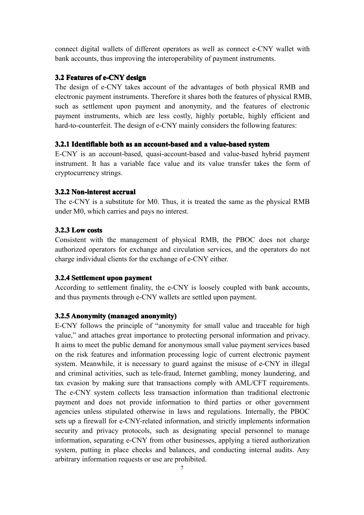connect digital wallets of different operators as well as connect e-CNY wallet with bank accounts, thus improving the interoperability of paymen<sup>t</sup> instruments.

#### **3.2 Features of e-CNY design**

The design of e-CNY takes account of the advantages of both physical RMB and electronic paymen<sup>t</sup> instruments. Therefore it shares both the features of physical RMB, such as settlement upon paymen<sup>t</sup> and anonymity, and the features of electronic paymen<sup>t</sup> instruments, which are less costly, highly portable, highly efficient and hard-to-counterfeit. The design of e-CNY mainly considers the following features:

#### **3.2.1 Identifiable** both as an account-based and a value-based system

E-CNY is an account-based, quasi-account-based and value-based hybrid paymen<sup>t</sup> instrument. It has <sup>a</sup> variable face value and its value transfer takes the form of cryptocurrency strings.

#### **3.2.2 Non-interest Non-interest Non-interestaccrual accrual**

The e-CNY is a substitute for M0. Thus, it is treated the same as the physical RMB under M0, which carries and pays no interest.

#### **3.2.3 Low costs**

Consistent with the managemen<sup>t</sup> of physical RMB, the PBOC does not charge authorized operators for exchange and circulation services, and the operators do not charge individual clients for the exchange of e-CNY either.

#### **3.2.4 Settlement upon payment**

According to settlement finality, the e-CNY is loosely coupled with bank accounts, and thus payments through e-CNY wallets are settled upon payment.

#### **3.2.5 Anonymity** (managed anonymity)

E-CNY follows the principle of "anonymity for small value and traceable for high value," and attaches grea<sup>t</sup> importance to protecting personal information and privacy. It aims to meet the public demand for anonymous small value payment services based on the risk features and information processing logic of current electronic paymen<sup>t</sup> system. Meanwhile, it is necessary to guard against the misuse of e-CNY in illegal and criminal activities, such as tele-fraud, Internet gambling, money laundering, and tax evasion by making sure that transactions comply with AML/CFT requirements. The e-CNY system collects less transaction information than traditional electronic paymen<sup>t</sup> and does not provide information to third parties or other governmen<sup>t</sup> agencies unless stipulated otherwise in laws and regulations. Internally, the PBOC sets up <sup>a</sup> firewall for e-CNY-related information, and strictly implements information security and privacy protocols, such as designating special personnel to manage information, separating e-CNY from other businesses, applying <sup>a</sup> tiered authorization system, putting in place checks and balances, and conducting internal audits. Any arbitrary information requests or use are prohibited.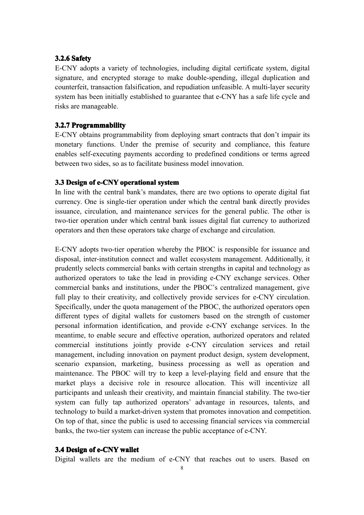## **3.2.6 Safety**

E-CNY adopts <sup>a</sup> variety of technologies, including digital certificate system, digital signature, and encrypted storage to make double-spending, illegal duplication and counterfeit, transaction falsification, and repudiation unfeasible. A multi-layer security system has been initially established to guarantee that e-CNY has <sup>a</sup> safe life cycle and risks are manageable.

#### **3.2.7 Programmability ProgrammabilityProgrammability Programmability**

E-CNY obtains programmability from deploying smart contracts that don't impair its monetary functions. Under the premise of security and compliance, this feature enables self-executing payments according to predefined conditions or terms agreed between two sides, so as to facilitate business model innovation.

#### **3.3 Design of e-CNY operational system**

In line with the central bank's mandates, there are two options to operate digital fiat currency. One is single-tier operation under which the central bank directly provides issuance, circulation, and maintenance services for the general public. The other is two-tier operation under which central bank issues digital fiat currency to authorized operators and then these operators take charge of exchange and circulation.

E-CNY adopts two-tier operation whereby the PBOC is responsible for issuance and disposal, inter-institution connect and wallet ecosystem management. Additionally, it prudently selects commercial banks with certain strengths incapital and technology as authorized operators to take the lead in providing e-CNY exchange services. Other commercial banks and institutions, under the PBOC's centralized management, give full play to their creativity, and collectively provide services for e-CNY circulation. Specifically, under the quota managemen<sup>t</sup> of the PBOC, the authorized operators open different types of digital wallets for customers based on the strength of customer personal information identification, and provide e-CNY exchange services. In the meantime, to enable secure and effective operation, authorized operators and related commercial institutions jointly provide e-CNY circulation services and retail management, including innovation on paymen<sup>t</sup> product design, system development, scenario expansion, marketing, business processing as well as operation and maintenance. The PBOC will try to keep <sup>a</sup> level-playing field and ensure that the market plays <sup>a</sup> decisive role in resource allocation. This will incentivize all participants and unleash their creativity, and maintain financial stability. The two-tier system can fully tap authorized operators' advantage in resources, talents, and technology to build <sup>a</sup> market-driven system that promotes innovation and competition. On top of that, since the public is used to accessing financial services via commercial banks, the two-tier system can increase the public acceptance of e-CNY.

#### **3.4 Design of e-CNY wallet**

Digital wallets are the medium of e-CNY that reaches out to users. Based on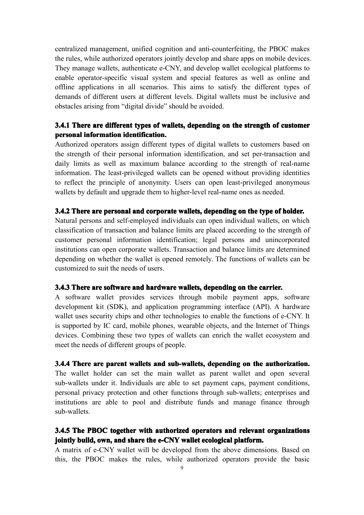centralized management, unified cognition and anti-counterfeiting, the PBOC makes the rules, while authorized operators jointly develop and share apps on mobile devices. They manage wallets, authenticate e-CNY, and develop wallet ecological platforms to enable operator-specific visual system and special features as well as online and offline applications in all scenarios. This aims to satisfy the different types of demands of different users at different levels. Digital wallets must be inclusive and obstacles arising from "digital divide" should be avoided.

## 3.4.1 There are different types of wallets, depending on the strength of customer **personal personalinformation informationinformationinformationidentification. identification.identification. identification.**

Authorized operators assign different types of digital wallets to customers based on the strength of their personal information identification, and set per-transaction and daily limits as well as maximum balance according to the strength of real-name information. The least-privileged wallets can be opened without providing identities to reflect the principle of anonymity. Users can open least-privileged anonymous wallets by default and upgrade them to higher-level real-name ones as needed.

#### 3.4.2 There are personal and corporate wallets, depending on the type of holder.

Natural persons and self-employed individuals can open individual wallets, on which classification of transaction and balance limits are placed according to the strength of customer personal information identification; legal persons and unincorporated institutions can open corporate wallets. Transaction and balance limits are determined depending on whether the wallet is opened remotely. The functions of wallets can be customized to suit the needs of users.

#### 3.4.3 There are software and hardware wallets, depending on the carrier.

A software wallet provides services through mobile paymen<sup>t</sup> apps, software development kit (SDK), and application programming interface (API). A hardware wallet uses security chips and other technologies to enable the functions of e-CNY. It is supported by IC card, mobile phones, wearable objects, and the Internet of Things devices. Combining these two types of wallets can enrich the wallet ecosystem and meet the needs of different groups of people.

#### 3.4.4 There are parent wallets and sub-wallets, depending on the authorization.

The wallet holder can set the main wallet as parent wallet and open several sub-wallets under it. Individuals are able to set paymen<sup>t</sup> caps, paymen<sup>t</sup> conditions, personal privacy protection and other functions through sub-wallets; enterprises and institutions are able to pool and distribute funds and manage finance through sub-wallets.

## 3.4.5 The PBOC together with authorized operators and relevant organizations **jointly** build, own, and share the e-CNY wallet ecological platform.

A matrix of e-CNY wallet will be developed from the above dimensions. Based on this, the PBOC makes the rules, while authorized operators provide the basic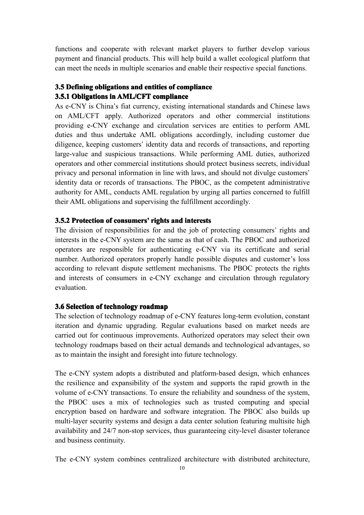functions and cooperate with relevant market players to further develop various paymen<sup>t</sup> and financial products. This will help build <sup>a</sup> wallet ecological platform that can meet the needs in multiple scenarios and enable their respective special functions.

## **3.5 Defining Definingobligations obligationsand entities entities of compliance compliance 3.5.1 Obligations in AML/CFT compliance**

As e-CNY is China's fiat currency, existing international standards and Chinese laws on AML/CFT apply. Authorized operators and other commercial institutions providing e-CNY exchange and circulation services are entities to perform AML duties and thus undertake AML obligations accordingly, including customer due diligence, keeping customers' identity data and records of transactions, and reporting large-value and suspicious transactions. While performing AML duties, authorized operators and other commercial institutions should protect business secrets, individual privacy and personal information in line with laws, and should not divulge customers' identity data or records of transactions. The PBOC, as the competent administrative authority for AML, conducts AML regulation by urging all parties concerned to fulfill their AML obligations and supervising the fulfillment accordingly.

## **3.5.2** Protection of consumers' rights and interests

The division of responsibilities for and the job of protecting consumers' rights and interests in the e-CNY system are the same as that of cash. The PBOC and authorized operators are responsible for authenticating e-CNY via its certificate and serial number. Authorized operators properly handle possible disputes and customer's loss according to relevant dispute settlement mechanisms. The PBOC protects the rights and interests of consumers in e-CNY exchange and circulation through regulatory evaluation.

## **3.6 Selection of technology technology technologyroadmap roadmap**

The selection of technology roadmap of e-CNY features long-term evolution, constant iteration and dynamic upgrading. Regular evaluations based on market needs are carried out for continuous improvements. Authorized operators may select their own technology roadmaps based on their actual demands and technological advantages, so as to maintain the insight and foresight into future technology.

The e-CNY system adopts <sup>a</sup> distributed and platform-based design, which enhances the resilience and expansibility of the system and supports the rapid growth in the volume of e-CNY transactions. To ensure the reliability and soundness of the system, the PBOC uses <sup>a</sup> mix of technologies such as trusted computing and special encryption based on hardware and software integration. The PBOC also builds up multi-layer security systems and design <sup>a</sup> data center solution featuring multisite high availability and 24/7 non-stop services, thus guaranteeing city-level disaster tolerance and business continuity.

The e-CNY system combines centralized architecture with distributed architecture,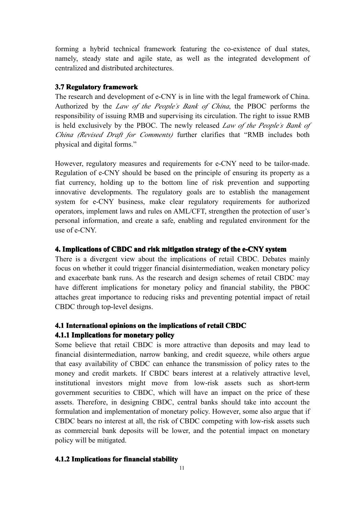forming <sup>a</sup> hybrid technical framework featuring the co-existence of dual states, namely, steady state and agile state, as well as the integrated development of centralized and distributed architectures.

#### **3.7 Regulatory Regulatory framework framework**

The research and development of e-CNY is in line with the legal framework of China. Authorized by the *Law of the People'<sup>s</sup> Bank of China*, the PBOC performs the responsibility of issuing RMB and supervising its circulation. The right to issue RMB is held exclusively by the PBOC. The newly released *Law of the People'<sup>s</sup> Bank of China (Revised Draft for Comments)* further clarifies that "RMB includes both physical and digital forms."

However, regulatory measures and requirements for e-CNY need to be tailor-made. Regulation of e-CNY should be based on the principle of ensuring its property as <sup>a</sup> fiat currency, holding up to the bottom line of risk prevention and supporting innovative developments. The regulatory goals are to establish the managemen<sup>t</sup> system for e-CNY business, make clear regulatory requirements for authorized operators, implement laws and rules on AML/CFT, strengthen the protection of user's personal information, and create <sup>a</sup> safe, enabling and regulated environment for the use of e-CNY.

#### **4. Implications Implicationsof CBDC and risk mitigation strategy of the e-CNY system**

There is <sup>a</sup> divergent view about the implications of retail CBDC. Debates mainly focus on whether it could trigger financial disintermediation, weaken monetary policy and exacerbate bank runs. As the research and design schemes of retail CBDC may have different implications for monetary policy and financial stability, the PBOC attaches grea<sup>t</sup> importance to reducing risks and preventing potential impact of retail CBDC through top-level designs.

# **4.1 International InternationalInternationalopinions opinionson the implications implicationsof retail CBDC**

## **4.1.1 Implications ImplicationsImplicationsImplicationsfor monetary monetary monetarypolicy**

Some believe that retail CBDC is more attractive than deposits and may lead to financial disintermediation, narrow banking, and credit squeeze, while others argue that easy availability of CBDC can enhance the transmission of policy rates to the money and credit markets. If CBDC bears interest at <sup>a</sup> relatively attractive level, institutional investors might move from low-risk assets such as short-term governmen<sup>t</sup> securities to CBDC, which will have an impact on the price of these assets. Therefore, in designing CBDC, central banks should take into account the formulation and implementation of monetary policy. However, some also argue that if CBDC bears no interest at all, the risk of CBDC competing with low-risk assets such as commercial bank deposits will be lower, and the potential impact on monetary policy will be mitigated.

## **4.1.2 Implications ImplicationsImplicationsfor financial financialfinancialfinancialstability stabilitystability**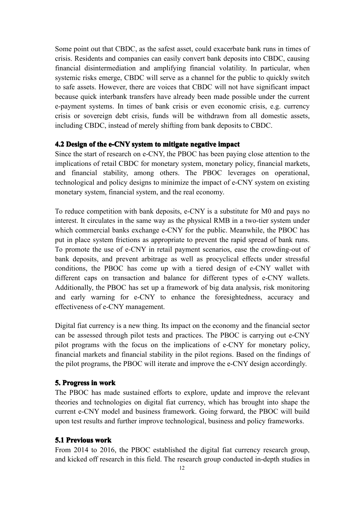Some point out that CBDC, as the safest asset, could exacerbate bank runs intimes of crisis. Residents and companies can easily convert bank deposits into CBDC, causing financial disintermediation and amplifying financial volatility. In particular, when systemic risks emerge, CBDC will serve as <sup>a</sup> channel for the public to quickly switch to safe assets. However, there are voices that CBDC will not have significant impact because quick interbank transfers have already been made possible under the current e-paymen<sup>t</sup> systems. In times of bank crisis or even economic crisis, e.g. currency crisis or sovereign debt crisis, funds will be withdrawn from all domestic assets, including CBDC, instead of merely shifting from bank deposits to CBDC.

#### **4.2 Design of the e-CNY system to mitigate mitigatemitigate negative negativenegativeimpact**

Since the start of research on e-CNY, the PBOC has been paying close attention to the implications of retail CBDC for monetary system, monetary policy, financial markets, and financial stability, among others. The PBOC leverages on operational, technological and policy designs tominimize the impact of e-CNY system on existing monetary system, financial system, and the real economy.

To reduce competition with bank deposits, e-CNY is <sup>a</sup> substitute for M0 and pays no interest. It circulates in the same way as the physical RMB in a two-tier system under which commercial banks exchange e-CNY for the public. Meanwhile, the PBOC has put in place system frictions as appropriate to prevent the rapid spread of bank runs. To promote the use of e-CNY in retail paymen<sup>t</sup> scenarios, ease the crowding-out of bank deposits, and preven<sup>t</sup> arbitrage as well as procyclical effects under stressful conditions, the PBOC has come up with <sup>a</sup> tiered design of e-CNY wallet with different caps on transaction and balance for different types of e-CNY wallets. Additionally, the PBOC has set up <sup>a</sup> framework of bigdata analysis, risk monitoring and early warning for e-CNY to enhance the foresightedness, accuracy and effectiveness of e-CNY management.

Digital fiat currency is <sup>a</sup> new thing. Its impact on the economy and the financial sector can be assessed through pilot tests and practices. The PBOC is carrying out e-CNY pilot programs with the focus on the implications of e-CNY for monetary policy, financial markets and financial stability in the pilot regions. Based on the findings of the pilot programs, the PBOC will iterate and improve the e-CNY design accordingly.

#### **5.** Progress in work

The PBOC has made sustained efforts to explore, update and improve the relevant theories and technologies on digital fiat currency, which has brought into shape the current e-CNY model and business framework. Going forward, the PBOC will build upon test results and further improve technological, business and policy frameworks.

## **5.1 Previous Previous Previouswork**

From 2014 to 2016, the PBOC established the digital fiat currency research group, and kicked off research in this field. The research group conducted in-depth studies in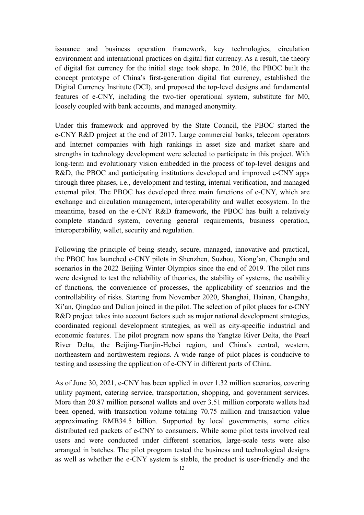issuance and business operation framework, key technologies, circulation environment and international practices on digital fiat currency. As a result, the theory of digital fiat currency for the initial stage took shape. In 2016, the PBOC built the concep<sup>t</sup> prototype of China's first-generation digital fiat currency, established the Digital Currency Institute (DCI), and proposed the top-level designs and fundamental features of e-CNY, including the two-tier operational system, substitute for M0, loosely coupled with bank accounts, and managed anonymity.

Under this framework and approved by the State Council, the PBOC started the e-CNY R&D project at the end of 2017. Large commercial banks, telecom operators and Internet companies with high rankings in asset size and market share and strengths in technology development were selected to participate in this project. With long-term and evolutionary vision embedded in the process of top-level designs and R&D, the PBOC and participating institutions developed and improved e-CNY apps through three phases, i.e., development and testing, internal verification, and managed external pilot. The PBOC has developed three main functions of e-CNY, which are exchange and circulation management, interoperability and wallet ecosystem. In the meantime, based on the e-CNY R&D framework, the PBOC has built <sup>a</sup> relatively complete standard system, covering general requirements, business operation, interoperability, wallet, security and regulation.

Following the principle of being steady, secure, managed, innovative and practical, the PBOC has launched e-CNY pilots in Shenzhen, Suzhou, Xiong'an, Chengdu and scenarios in the 2022 Beijing Winter Olympics since the end of 2019. The pilot runs were designed to test the reliability of theories, the stability of systems, the usability of functions, the convenience of processes, the applicability of scenarios and the controllability of risks. Starting from November 2020, Shanghai, Hainan, Changsha, Xi'an, Oingdao and Dalian joined in the pilot. The selection of pilot places for e-CNY R&D project takes into account factors such as major national development strategies, coordinated regional development strategies, aswell as city-specific industrial and economic features. The pilot program now spans the Yangtze River Delta, the Pearl River Delta, the Beijing-Tianjin-Hebei region, and China's central, western, northeastern and northwestern regions. A wide range of pilot places is conducive to testing and assessing the application of e-CNY in different parts of China.

As of June 30, 2021, e-CNY has been applied in over 1.32 million scenarios, covering utility payment, catering service, transportation, shopping, and governmen<sup>t</sup> services. More than 20.87 million personal wallets and over 3.51 million corporate wallets had been opened, with transaction volume totaling 70.75 million and transaction value approximating RMB34.5 billion. Supported by local governments, some cities distributed red packets of e-CNY to consumers. While some pilot tests involved real users and were conducted under different scenarios, large-scale tests were also arranged in batches. The pilot program tested the business and technological designs as well as whether the e-CNY system is stable, the product is user-friendly and the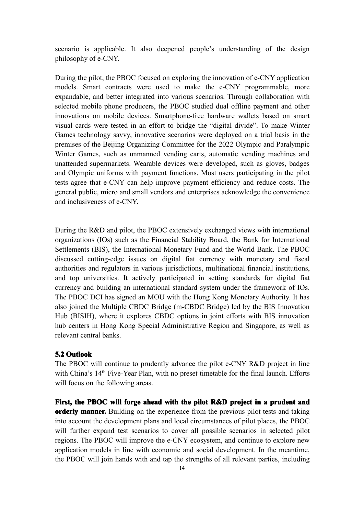scenario is applicable. It also deepened people's understanding of the design philosophy of e-CNY.

During the pilot, the PBOC focused on exploring the innovation of e-CNY application models. Smart contracts were used to make the e-CNY programmable, more expandable, and better integrated into various scenarios. Through collaboration with selected mobile phone producers, the PBOC studied dual offline paymen<sup>t</sup> and other innovations on mobile devices. Smartphone-free hardware wallets based on smart visual cards were tested in an effort to bridge the "digital divide". To make Winter Games technology savvy, innovative scenarios were deployed on <sup>a</sup> trial basis in the premises of the Beijing Organizing Committee for the 2022 Olympic and Paralympic Winter Games, such as unmanned vending carts, automatic vending machines and unattended supermarkets. Wearable devices were developed, such as gloves, badges and Olympic uniforms with paymen<sup>t</sup> functions. Most users participating in the pilot tests agree that e-CNY can help improve paymen<sup>t</sup> efficiency and reduce costs. The general public, micro and small vendors and enterprises acknowledge the convenience and inclusiveness of e-CNY.

During the R&D and pilot, the PBOC extensively exchanged views with international organizations (IOs) such as the Financial Stability Board, the Bank for International Settlements (BIS), the International Monetary Fund and the World Bank. The PBOC discussed cutting-edge issues on digital fiat currency with monetary and fiscal authorities and regulators in various jurisdictions, multinational financial institutions, and top universities. It actively participated in setting standards for digital fiat currency and building an international standard system under the framework of IOs. The PBOC DCI has signed an MOU with the Hong Kong Monetary Authority. It has also joined the Multiple CBDC Bridge (m-CBDC Bridge) led by the BIS Innovation Hub (BISIH), where it explores CBDC options in joint efforts with BIS innovation hub centers in Hong Kong Special Administrative Region and Singapore, as well as relevant central banks.

## **5.2 Outlook**

The PBOC will continue to prudently advance the pilot e-CNY R&D project in line with China's 14<sup>th</sup> Five-Year Plan, with no preset timetable for the final launch. Efforts will focus on the following areas.

**First, the PBOC will forge ahead with the pilot R&D project project in <sup>a</sup> prudent prudentand orderly manner.** Building on the experience from the previous pilot tests and taking into account the development plans and local circumstances of pilot places, the PBOC will further expand test scenarios to cover all possible scenarios in selected pilot regions. The PBOC will improve the e-CNY ecosystem, and continue to explore new application models in line with economic and social development. In the meantime, the PBOC will join hands with and tap the strengths of all relevant parties, including